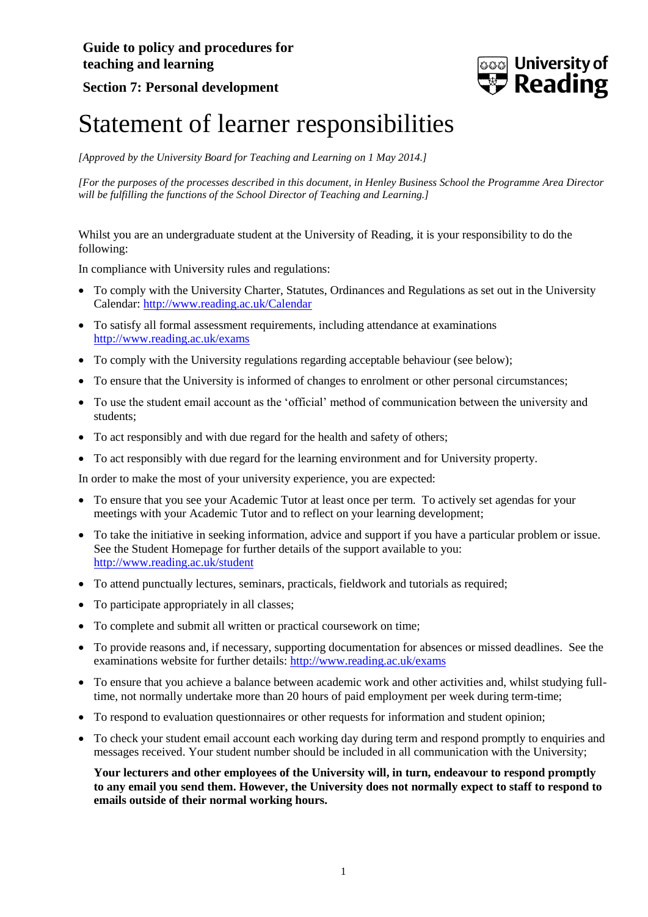

## **Section 7: Personal development**

## Statement of learner responsibilities

*[Approved by the University Board for Teaching and Learning on 1 May 2014.]*

*[For the purposes of the processes described in this document, in Henley Business School the Programme Area Director will be fulfilling the functions of the School Director of Teaching and Learning.]*

Whilst you are an undergraduate student at the University of Reading, it is your responsibility to do the following:

In compliance with University rules and regulations:

- To comply with the University Charter, Statutes, Ordinances and Regulations as set out in the University Calendar:<http://www.reading.ac.uk/Calendar>
- To satisfy all formal assessment requirements, including attendance at examinations <http://www.reading.ac.uk/exams>
- To comply with the University regulations regarding acceptable behaviour (see below);
- To ensure that the University is informed of changes to enrolment or other personal circumstances;
- To use the student email account as the 'official' method of communication between the university and students;
- To act responsibly and with due regard for the health and safety of others:
- To act responsibly with due regard for the learning environment and for University property.

In order to make the most of your university experience, you are expected:

- To ensure that you see your Academic Tutor at least once per term. To actively set agendas for your meetings with your Academic Tutor and to reflect on your learning development;
- To take the initiative in seeking information, advice and support if you have a particular problem or issue. See the Student Homepage for further details of the support available to you: <http://www.reading.ac.uk/student>
- To attend punctually lectures, seminars, practicals, fieldwork and tutorials as required;
- To participate appropriately in all classes;
- To complete and submit all written or practical coursework on time;
- To provide reasons and, if necessary, supporting documentation for absences or missed deadlines. See the examinations website for further details:<http://www.reading.ac.uk/exams>
- To ensure that you achieve a balance between academic work and other activities and, whilst studying fulltime, not normally undertake more than 20 hours of paid employment per week during term-time;
- To respond to evaluation questionnaires or other requests for information and student opinion;
- To check your student email account each working day during term and respond promptly to enquiries and messages received. Your student number should be included in all communication with the University;

**Your lecturers and other employees of the University will, in turn, endeavour to respond promptly to any email you send them. However, the University does not normally expect to staff to respond to emails outside of their normal working hours.**